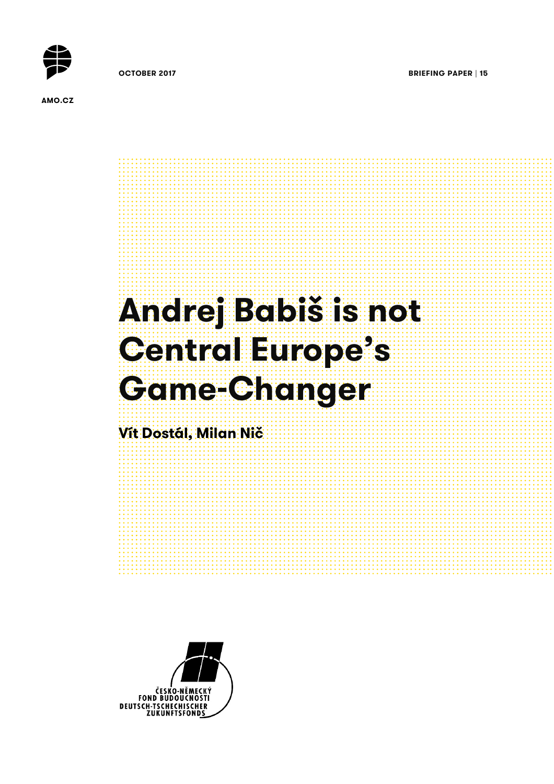

**OCTOBER 2017 BRIEFING PAPER | 15** 

**AMO.CZ**



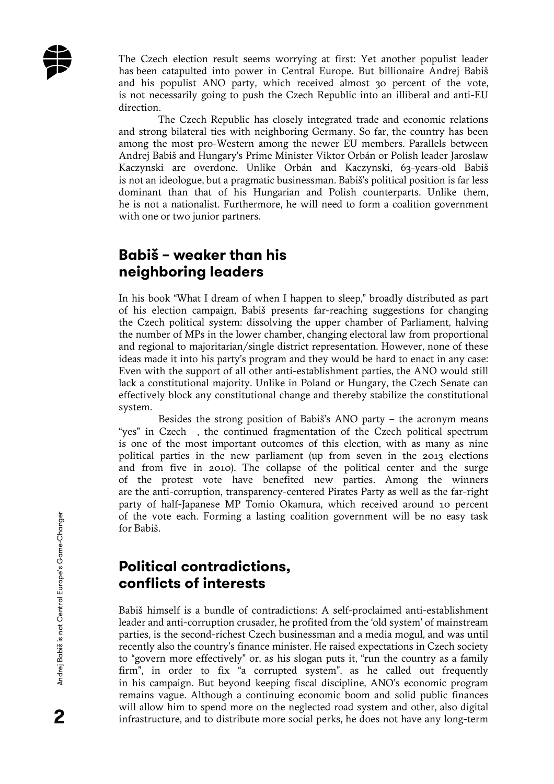

The Czech election result seems worrying at first: Yet another populist leader has been catapulted into power in Central Europe. But billionaire Andrej Babiš and his populist ANO party, which received almost 30 percent of the vote, is not necessarily going to push the Czech Republic into an illiberal and anti-EU direction.

The Czech Republic has closely integrated trade and economic relations and strong bilateral ties with neighboring Germany. So far, the country has been among the most pro-Western among the newer EU members. Parallels between Andrej Babiš and Hungary's Prime Minister Viktor Orbán or Polish leader Jaroslaw Kaczynski are overdone. Unlike Orbán and Kaczynski, 63-years-old Babiš is not an ideologue, but a pragmatic businessman. Babiš's political position is far less dominant than that of his Hungarian and Polish counterparts. Unlike them, he is not a nationalist. Furthermore, he will need to form a coalition government with one or two junior partners.

### **Babiš – weaker than his neighboring leaders**

In his book "What I dream of when I happen to sleep," broadly distributed as part of his election campaign, Babiš presents far-reaching suggestions for changing the Czech political system: dissolving the upper chamber of Parliament, halving the number of MPs in the lower chamber, changing electoral law from proportional and regional to majoritarian/single district representation. However, none of these ideas made it into his party's program and they would be hard to enact in any case: Even with the support of all other anti-establishment parties, the ANO would still lack a constitutional majority. Unlike in Poland or Hungary, the Czech Senate can effectively block any constitutional change and thereby stabilize the constitutional system.

Besides the strong position of Babiš's ANO party – the acronym means "yes" in Czech –, the continued fragmentation of the Czech political spectrum is one of the most important outcomes of this election, with as many as nine political parties in the new parliament (up from seven in the 2013 elections and from five in 2010). The collapse of the political center and the surge of the protest vote have benefited new parties. Among the winners are the anti-corruption, transparency-centered Pirates Party as well as the far-right party of half-Japanese MP Tomio Okamura, which received around 10 percent of the vote each. Forming a lasting coalition government will be no easy task for Babiš.

#### **Political contradictions, conflicts of interests**

Babiš himself is a bundle of contradictions: A self-proclaimed anti-establishment leader and anti-corruption crusader, he profited from the 'old system' of mainstream parties, is the second-richest Czech businessman and a media mogul, and was until recently also the country's finance minister. He raised expectations in Czech society to "govern more effectively" or, as his slogan puts it, "run the country as a family firm", in order to fix "a corrupted system", as he called out frequently in his campaign. But beyond keeping fiscal discipline, ANO's economic program remains vague. Although a continuing economic boom and solid public finances will allow him to spend more on the neglected road system and other, also digital infrastructure, and to distribute more social perks, he does not have any long-term

2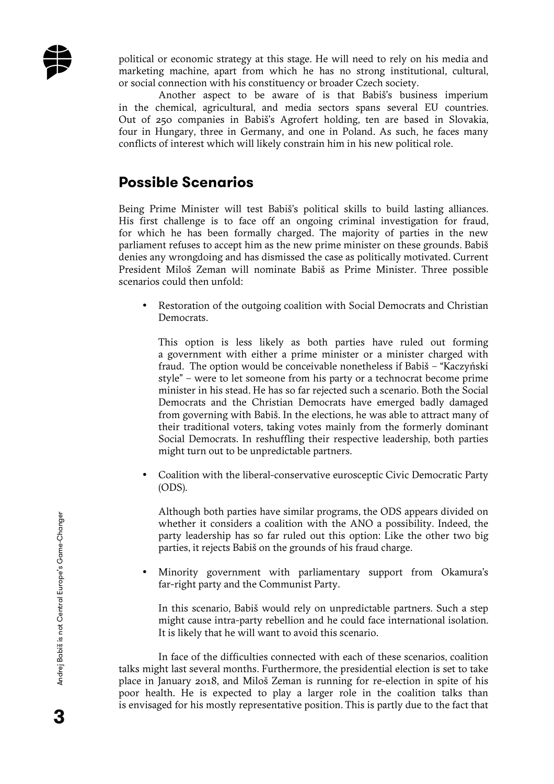

political or economic strategy at this stage. He will need to rely on his media and marketing machine, apart from which he has no strong institutional, cultural, or social connection with his constituency or broader Czech society.

Another aspect to be aware of is that Babiš's business imperium in the chemical, agricultural, and media sectors spans several EU countries. Out of 250 companies in Babiš's Agrofert holding, ten are based in Slovakia, four in Hungary, three in Germany, and one in Poland. As such, he faces many conflicts of interest which will likely constrain him in his new political role.

#### **Possible Scenarios**

Being Prime Minister will test Babiš's political skills to build lasting alliances. His first challenge is to face off an ongoing criminal investigation for fraud, for which he has been formally charged. The majority of parties in the new parliament refuses to accept him as the new prime minister on these grounds. Babiš denies any wrongdoing and has dismissed the case as politically motivated. Current President Miloš Zeman will nominate Babiš as Prime Minister. Three possible scenarios could then unfold:

• Restoration of the outgoing coalition with Social Democrats and Christian Democrats.

This option is less likely as both parties have ruled out forming a government with either a prime minister or a minister charged with fraud. The option would be conceivable nonetheless if Babiš – "Kaczyński style" – were to let someone from his party or a technocrat become prime minister in his stead. He has so far rejected such a scenario. Both the Social Democrats and the Christian Democrats have emerged badly damaged from governing with Babiš. In the elections, he was able to attract many of their traditional voters, taking votes mainly from the formerly dominant Social Democrats. In reshuffling their respective leadership, both parties might turn out to be unpredictable partners.

• Coalition with the liberal-conservative eurosceptic Civic Democratic Party (ODS).

Although both parties have similar programs, the ODS appears divided on whether it considers a coalition with the ANO a possibility. Indeed, the party leadership has so far ruled out this option: Like the other two big parties, it rejects Babiš on the grounds of his fraud charge.

• Minority government with parliamentary support from Okamura's far-right party and the Communist Party.

In this scenario, Babiš would rely on unpredictable partners. Such a step might cause intra-party rebellion and he could face international isolation. It is likely that he will want to avoid this scenario.

In face of the difficulties connected with each of these scenarios, coalition talks might last several months. Furthermore, the presidential election is set to take place in January 2018, and Miloš Zeman is running for re-election in spite of his poor health. He is expected to play a larger role in the coalition talks than is envisaged for his mostly representative position. This is partly due to the fact that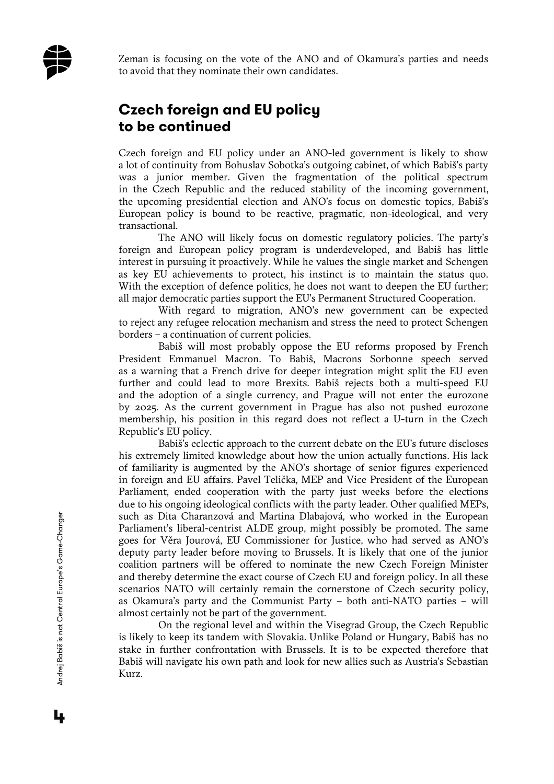

Zeman is focusing on the vote of the ANO and of Okamura's parties and needs to avoid that they nominate their own candidates.

# **Czech foreign and EU policy to be continued**

Czech foreign and EU policy under an ANO-led government is likely to show a lot of continuity from Bohuslav Sobotka's outgoing cabinet, of which Babiš's party was a junior member. Given the fragmentation of the political spectrum in the Czech Republic and the reduced stability of the incoming government, the upcoming presidential election and ANO's focus on domestic topics, Babiš's European policy is bound to be reactive, pragmatic, non-ideological, and very transactional.

The ANO will likely focus on domestic regulatory policies. The party's foreign and European policy program is underdeveloped, and Babiš has little interest in pursuing it proactively. While he values the single market and Schengen as key EU achievements to protect, his instinct is to maintain the status quo. With the exception of defence politics, he does not want to deepen the EU further; all major democratic parties support the EU's Permanent Structured Cooperation.

With regard to migration, ANO's new government can be expected to reject any refugee relocation mechanism and stress the need to protect Schengen borders – a continuation of current policies.

Babiš will most probably oppose the EU reforms proposed by French President Emmanuel Macron. To Babiš, Macrons Sorbonne speech served as a warning that a French drive for deeper integration might split the EU even further and could lead to more Brexits. Babiš rejects both a multi-speed EU and the adoption of a single currency, and Prague will not enter the eurozone by 2025. As the current government in Prague has also not pushed eurozone membership, his position in this regard does not reflect a U-turn in the Czech Republic's EU policy.

Babiš's eclectic approach to the current debate on the EU's future discloses his extremely limited knowledge about how the union actually functions. His lack of familiarity is augmented by the ANO's shortage of senior figures experienced in foreign and EU affairs. Pavel Telička, MEP and Vice President of the European Parliament, ended cooperation with the party just weeks before the elections due to his ongoing ideological conflicts with the party leader. Other qualified MEPs, such as Dita Charanzová and Martina Dlabajová, who worked in the European Parliament's liberal-centrist ALDE group, might possibly be promoted. The same goes for Věra Jourová, EU Commissioner for Justice, who had served as ANO's deputy party leader before moving to Brussels. It is likely that one of the junior coalition partners will be offered to nominate the new Czech Foreign Minister and thereby determine the exact course of Czech EU and foreign policy. In all these scenarios NATO will certainly remain the cornerstone of Czech security policy, as Okamura's party and the Communist Party – both anti-NATO parties – will almost certainly not be part of the government.

On the regional level and within the Visegrad Group, the Czech Republic is likely to keep its tandem with Slovakia. Unlike Poland or Hungary, Babiš has no stake in further confrontation with Brussels. It is to be expected therefore that Babiš will navigate his own path and look for new allies such as Austria's Sebastian Kurz.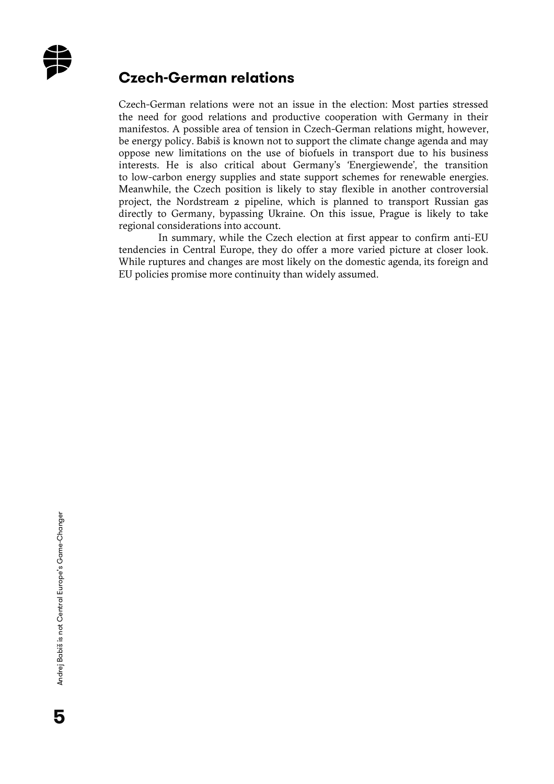

#### **Czech-German relations**

Czech-German relations were not an issue in the election: Most parties stressed the need for good relations and productive cooperation with Germany in their manifestos. A possible area of tension in Czech-German relations might, however, be energy policy. Babiš is known not to support the climate change agenda and may oppose new limitations on the use of biofuels in transport due to his business interests. He is also critical about Germany's 'Energiewende', the transition to low-carbon energy supplies and state support schemes for renewable energies. Meanwhile, the Czech position is likely to stay flexible in another controversial project, the Nordstream 2 pipeline, which is planned to transport Russian gas directly to Germany, bypassing Ukraine. On this issue, Prague is likely to take regional considerations into account.

In summary, while the Czech election at first appear to confirm anti-EU tendencies in Central Europe, they do offer a more varied picture at closer look. While ruptures and changes are most likely on the domestic agenda, its foreign and EU policies promise more continuity than widely assumed.